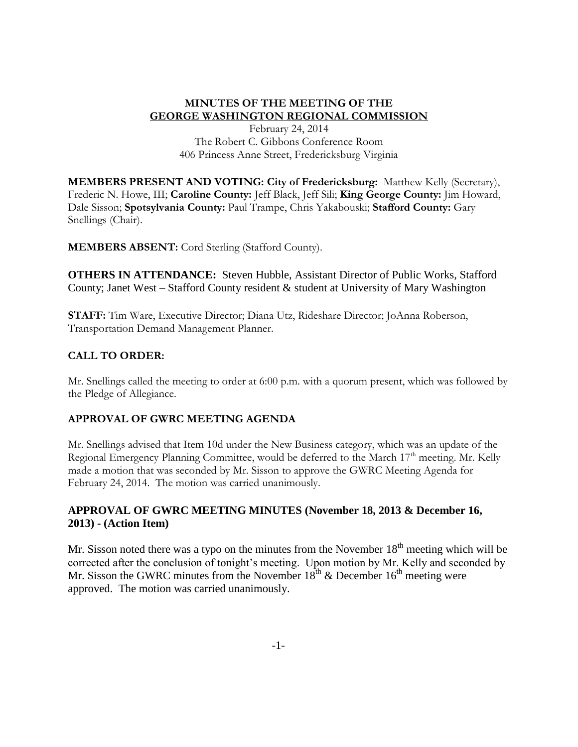## **MINUTES OF THE MEETING OF THE GEORGE WASHINGTON REGIONAL COMMISSION**

February 24, 2014 The Robert C. Gibbons Conference Room 406 Princess Anne Street, Fredericksburg Virginia

**MEMBERS PRESENT AND VOTING: City of Fredericksburg:** Matthew Kelly (Secretary), Frederic N. Howe, III; **Caroline County:** Jeff Black, Jeff Sili; **King George County:** Jim Howard, Dale Sisson; **Spotsylvania County:** Paul Trampe, Chris Yakabouski; **Stafford County:** Gary Snellings (Chair).

**MEMBERS ABSENT:** Cord Sterling (Stafford County).

**OTHERS IN ATTENDANCE:** Steven Hubble, Assistant Director of Public Works, Stafford County; Janet West – Stafford County resident & student at University of Mary Washington

**STAFF:** Tim Ware, Executive Director; Diana Utz, Rideshare Director; JoAnna Roberson, Transportation Demand Management Planner.

## **CALL TO ORDER:**

Mr. Snellings called the meeting to order at 6:00 p.m. with a quorum present, which was followed by the Pledge of Allegiance.

### **APPROVAL OF GWRC MEETING AGENDA**

Mr. Snellings advised that Item 10d under the New Business category, which was an update of the Regional Emergency Planning Committee, would be deferred to the March  $17<sup>th</sup>$  meeting. Mr. Kelly made a motion that was seconded by Mr. Sisson to approve the GWRC Meeting Agenda for February 24, 2014. The motion was carried unanimously.

## **APPROVAL OF GWRC MEETING MINUTES (November 18, 2013 & December 16, 2013) - (Action Item)**

Mr. Sisson noted there was a typo on the minutes from the November  $18<sup>th</sup>$  meeting which will be corrected after the conclusion of tonight's meeting. Upon motion by Mr. Kelly and seconded by Mr. Sisson the GWRC minutes from the November  $18^{th}$  & December  $16^{th}$  meeting were approved. The motion was carried unanimously.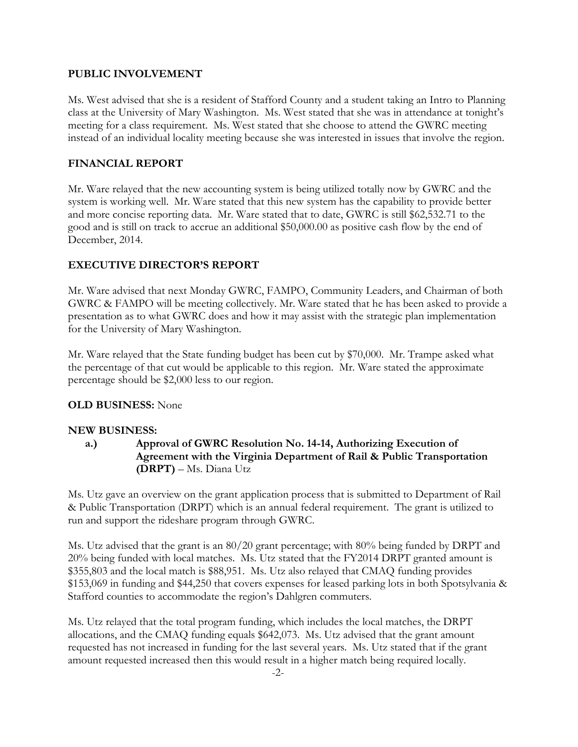#### **PUBLIC INVOLVEMENT**

Ms. West advised that she is a resident of Stafford County and a student taking an Intro to Planning class at the University of Mary Washington. Ms. West stated that she was in attendance at tonight's meeting for a class requirement. Ms. West stated that she choose to attend the GWRC meeting instead of an individual locality meeting because she was interested in issues that involve the region.

## **FINANCIAL REPORT**

Mr. Ware relayed that the new accounting system is being utilized totally now by GWRC and the system is working well. Mr. Ware stated that this new system has the capability to provide better and more concise reporting data. Mr. Ware stated that to date, GWRC is still \$62,532.71 to the good and is still on track to accrue an additional \$50,000.00 as positive cash flow by the end of December, 2014.

## **EXECUTIVE DIRECTOR'S REPORT**

Mr. Ware advised that next Monday GWRC, FAMPO, Community Leaders, and Chairman of both GWRC & FAMPO will be meeting collectively. Mr. Ware stated that he has been asked to provide a presentation as to what GWRC does and how it may assist with the strategic plan implementation for the University of Mary Washington.

Mr. Ware relayed that the State funding budget has been cut by \$70,000. Mr. Trampe asked what the percentage of that cut would be applicable to this region. Mr. Ware stated the approximate percentage should be \$2,000 less to our region.

#### **OLD BUSINESS:** None

#### **NEW BUSINESS:**

**a.) Approval of GWRC Resolution No. 14-14, Authorizing Execution of Agreement with the Virginia Department of Rail & Public Transportation (DRPT)** – Ms. Diana Utz

Ms. Utz gave an overview on the grant application process that is submitted to Department of Rail & Public Transportation (DRPT) which is an annual federal requirement. The grant is utilized to run and support the rideshare program through GWRC.

Ms. Utz advised that the grant is an 80/20 grant percentage; with 80% being funded by DRPT and 20% being funded with local matches. Ms. Utz stated that the FY2014 DRPT granted amount is \$355,803 and the local match is \$88,951. Ms. Utz also relayed that CMAQ funding provides \$153,069 in funding and \$44,250 that covers expenses for leased parking lots in both Spotsylvania & Stafford counties to accommodate the region's Dahlgren commuters.

Ms. Utz relayed that the total program funding, which includes the local matches, the DRPT allocations, and the CMAQ funding equals \$642,073. Ms. Utz advised that the grant amount requested has not increased in funding for the last several years. Ms. Utz stated that if the grant amount requested increased then this would result in a higher match being required locally.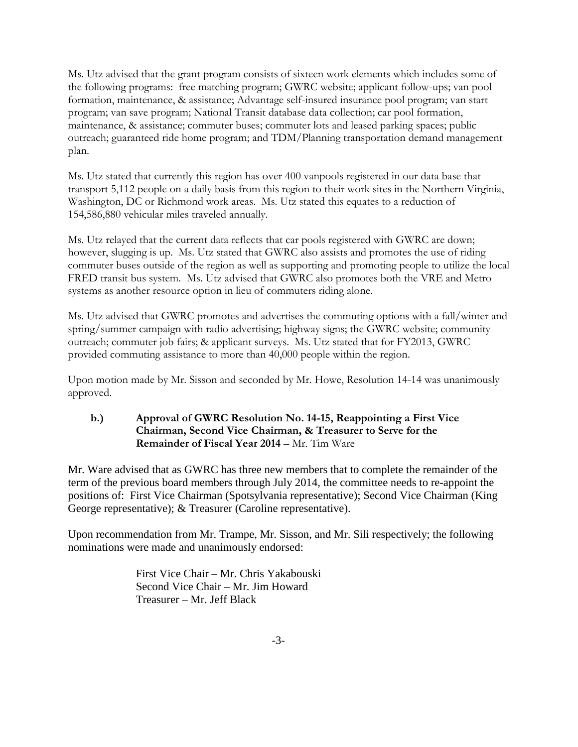Ms. Utz advised that the grant program consists of sixteen work elements which includes some of the following programs: free matching program; GWRC website; applicant follow-ups; van pool formation, maintenance, & assistance; Advantage self-insured insurance pool program; van start program; van save program; National Transit database data collection; car pool formation, maintenance, & assistance; commuter buses; commuter lots and leased parking spaces; public outreach; guaranteed ride home program; and TDM/Planning transportation demand management plan.

Ms. Utz stated that currently this region has over 400 vanpools registered in our data base that transport 5,112 people on a daily basis from this region to their work sites in the Northern Virginia, Washington, DC or Richmond work areas. Ms. Utz stated this equates to a reduction of 154,586,880 vehicular miles traveled annually.

Ms. Utz relayed that the current data reflects that car pools registered with GWRC are down; however, slugging is up. Ms. Utz stated that GWRC also assists and promotes the use of riding commuter buses outside of the region as well as supporting and promoting people to utilize the local FRED transit bus system. Ms. Utz advised that GWRC also promotes both the VRE and Metro systems as another resource option in lieu of commuters riding alone.

Ms. Utz advised that GWRC promotes and advertises the commuting options with a fall/winter and spring/summer campaign with radio advertising; highway signs; the GWRC website; community outreach; commuter job fairs; & applicant surveys. Ms. Utz stated that for FY2013, GWRC provided commuting assistance to more than 40,000 people within the region.

Upon motion made by Mr. Sisson and seconded by Mr. Howe, Resolution 14-14 was unanimously approved.

## **b.) Approval of GWRC Resolution No. 14-15, Reappointing a First Vice Chairman, Second Vice Chairman, & Treasurer to Serve for the Remainder of Fiscal Year 2014** – Mr. Tim Ware

Mr. Ware advised that as GWRC has three new members that to complete the remainder of the term of the previous board members through July 2014, the committee needs to re-appoint the positions of: First Vice Chairman (Spotsylvania representative); Second Vice Chairman (King George representative); & Treasurer (Caroline representative).

Upon recommendation from Mr. Trampe, Mr. Sisson, and Mr. Sili respectively; the following nominations were made and unanimously endorsed:

> First Vice Chair – Mr. Chris Yakabouski Second Vice Chair – Mr. Jim Howard Treasurer – Mr. Jeff Black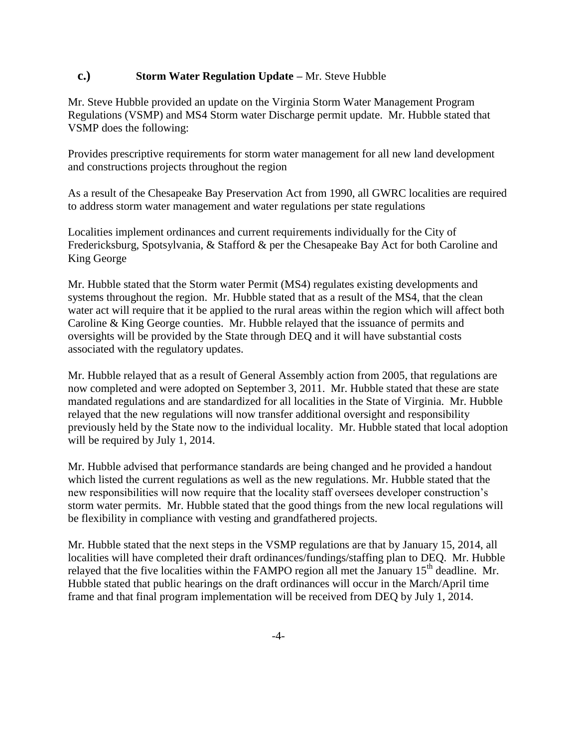## **c.) Storm Water Regulation Update –** Mr. Steve Hubble

Mr. Steve Hubble provided an update on the Virginia Storm Water Management Program Regulations (VSMP) and MS4 Storm water Discharge permit update. Mr. Hubble stated that VSMP does the following:

Provides prescriptive requirements for storm water management for all new land development and constructions projects throughout the region

As a result of the Chesapeake Bay Preservation Act from 1990, all GWRC localities are required to address storm water management and water regulations per state regulations

Localities implement ordinances and current requirements individually for the City of Fredericksburg, Spotsylvania, & Stafford & per the Chesapeake Bay Act for both Caroline and King George

Mr. Hubble stated that the Storm water Permit (MS4) regulates existing developments and systems throughout the region. Mr. Hubble stated that as a result of the MS4, that the clean water act will require that it be applied to the rural areas within the region which will affect both Caroline & King George counties. Mr. Hubble relayed that the issuance of permits and oversights will be provided by the State through DEQ and it will have substantial costs associated with the regulatory updates.

Mr. Hubble relayed that as a result of General Assembly action from 2005, that regulations are now completed and were adopted on September 3, 2011. Mr. Hubble stated that these are state mandated regulations and are standardized for all localities in the State of Virginia. Mr. Hubble relayed that the new regulations will now transfer additional oversight and responsibility previously held by the State now to the individual locality. Mr. Hubble stated that local adoption will be required by July 1, 2014.

Mr. Hubble advised that performance standards are being changed and he provided a handout which listed the current regulations as well as the new regulations. Mr. Hubble stated that the new responsibilities will now require that the locality staff oversees developer construction's storm water permits. Mr. Hubble stated that the good things from the new local regulations will be flexibility in compliance with vesting and grandfathered projects.

Mr. Hubble stated that the next steps in the VSMP regulations are that by January 15, 2014, all localities will have completed their draft ordinances/fundings/staffing plan to DEQ. Mr. Hubble relayed that the five localities within the FAMPO region all met the January 15<sup>th</sup> deadline. Mr. Hubble stated that public hearings on the draft ordinances will occur in the March/April time frame and that final program implementation will be received from DEQ by July 1, 2014.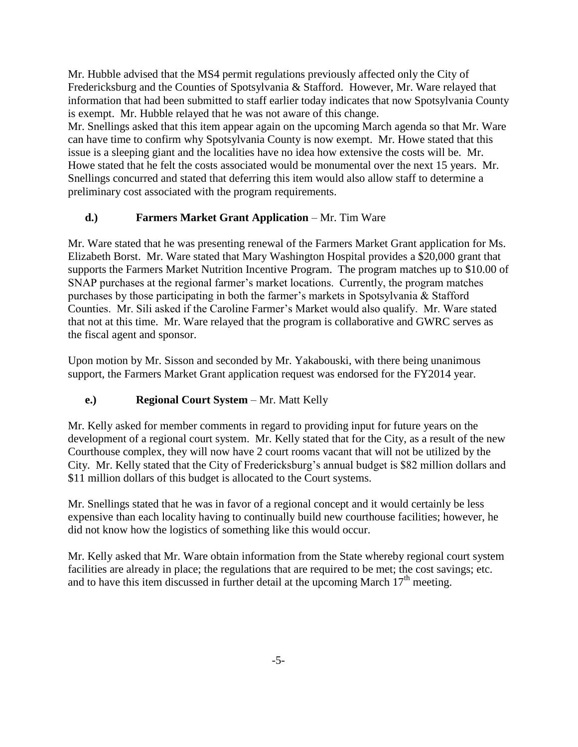Mr. Hubble advised that the MS4 permit regulations previously affected only the City of Fredericksburg and the Counties of Spotsylvania & Stafford. However, Mr. Ware relayed that information that had been submitted to staff earlier today indicates that now Spotsylvania County is exempt. Mr. Hubble relayed that he was not aware of this change.

Mr. Snellings asked that this item appear again on the upcoming March agenda so that Mr. Ware can have time to confirm why Spotsylvania County is now exempt. Mr. Howe stated that this issue is a sleeping giant and the localities have no idea how extensive the costs will be. Mr. Howe stated that he felt the costs associated would be monumental over the next 15 years. Mr. Snellings concurred and stated that deferring this item would also allow staff to determine a preliminary cost associated with the program requirements.

# **d.) Farmers Market Grant Application – Mr. Tim Ware**

Mr. Ware stated that he was presenting renewal of the Farmers Market Grant application for Ms. Elizabeth Borst. Mr. Ware stated that Mary Washington Hospital provides a \$20,000 grant that supports the Farmers Market Nutrition Incentive Program. The program matches up to \$10.00 of SNAP purchases at the regional farmer's market locations. Currently, the program matches purchases by those participating in both the farmer's markets in Spotsylvania & Stafford Counties. Mr. Sili asked if the Caroline Farmer's Market would also qualify. Mr. Ware stated that not at this time. Mr. Ware relayed that the program is collaborative and GWRC serves as the fiscal agent and sponsor.

Upon motion by Mr. Sisson and seconded by Mr. Yakabouski, with there being unanimous support, the Farmers Market Grant application request was endorsed for the FY2014 year.

# **e.**) **Regional Court System – Mr. Matt Kelly**

Mr. Kelly asked for member comments in regard to providing input for future years on the development of a regional court system. Mr. Kelly stated that for the City, as a result of the new Courthouse complex, they will now have 2 court rooms vacant that will not be utilized by the City. Mr. Kelly stated that the City of Fredericksburg's annual budget is \$82 million dollars and \$11 million dollars of this budget is allocated to the Court systems.

Mr. Snellings stated that he was in favor of a regional concept and it would certainly be less expensive than each locality having to continually build new courthouse facilities; however, he did not know how the logistics of something like this would occur.

Mr. Kelly asked that Mr. Ware obtain information from the State whereby regional court system facilities are already in place; the regulations that are required to be met; the cost savings; etc. and to have this item discussed in further detail at the upcoming March  $17<sup>th</sup>$  meeting.